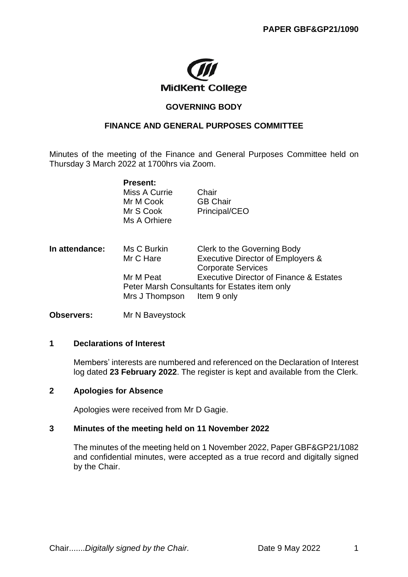

## **GOVERNING BODY**

## **FINANCE AND GENERAL PURPOSES COMMITTEE**

Minutes of the meeting of the Finance and General Purposes Committee held on Thursday 3 March 2022 at 1700hrs via Zoom.

|                | <b>Present:</b><br>Miss A Currie<br>Mr M Cook<br>Mr S Cook<br>Ms A Orhiere | Chair<br><b>GB Chair</b><br>Principal/CEO                                                                          |
|----------------|----------------------------------------------------------------------------|--------------------------------------------------------------------------------------------------------------------|
| In attendance: | Ms C Burkin<br>Mr C Hare                                                   | Clerk to the Governing Body<br><b>Executive Director of Employers &amp;</b><br><b>Corporate Services</b>           |
|                | Mr M Peat<br>Mrs J Thompson                                                | <b>Executive Director of Finance &amp; Estates</b><br>Peter Marsh Consultants for Estates item only<br>Item 9 only |

**Observers:** Mr N Baveystock

### **1 Declarations of Interest**

Members' interests are numbered and referenced on the Declaration of Interest log dated **23 February 2022**. The register is kept and available from the Clerk.

## **2 Apologies for Absence**

Apologies were received from Mr D Gagie.

## **3 Minutes of the meeting held on 11 November 2022**

The minutes of the meeting held on 1 November 2022, Paper GBF&GP21/1082 and confidential minutes, were accepted as a true record and digitally signed by the Chair.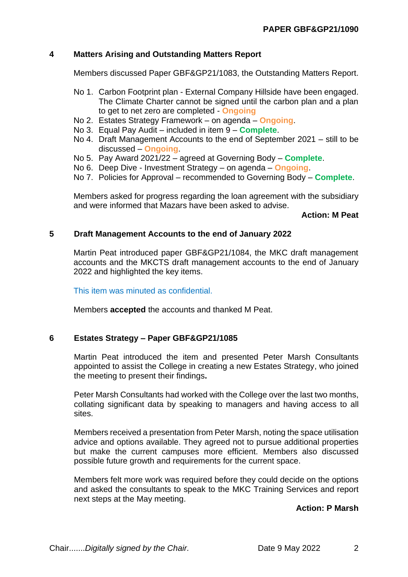## **4 Matters Arising and Outstanding Matters Report**

Members discussed Paper GBF&GP21/1083, the Outstanding Matters Report.

- No 1. Carbon Footprint plan External Company Hillside have been engaged. The Climate Charter cannot be signed until the carbon plan and a plan to get to net zero are completed - **Ongoing**
- No 2. Estates Strategy Framework on agenda **Ongoing**.
- No 3. Equal Pay Audit included in item 9 **Complete**.
- No 4. Draft Management Accounts to the end of September 2021 still to be discussed – **Ongoing**.
- No 5. Pay Award 2021/22 agreed at Governing Body **Complete**.
- No 6. Deep Dive Investment Strategy on agenda **Ongoing**.
- No 7. Policies for Approval recommended to Governing Body **Complete**.

Members asked for progress regarding the loan agreement with the subsidiary and were informed that Mazars have been asked to advise.

### **Action: M Peat**

### **5 Draft Management Accounts to the end of January 2022**

Martin Peat introduced paper GBF&GP21/1084, the MKC draft management accounts and the MKCTS draft management accounts to the end of January 2022 and highlighted the key items.

This item was minuted as confidential.

Members **accepted** the accounts and thanked M Peat.

## **6 Estates Strategy – Paper GBF&GP21/1085**

Martin Peat introduced the item and presented Peter Marsh Consultants appointed to assist the College in creating a new Estates Strategy, who joined the meeting to present their findings**.**

Peter Marsh Consultants had worked with the College over the last two months, collating significant data by speaking to managers and having access to all sites.

Members received a presentation from Peter Marsh, noting the space utilisation advice and options available. They agreed not to pursue additional properties but make the current campuses more efficient. Members also discussed possible future growth and requirements for the current space.

Members felt more work was required before they could decide on the options and asked the consultants to speak to the MKC Training Services and report next steps at the May meeting.

### **Action: P Marsh**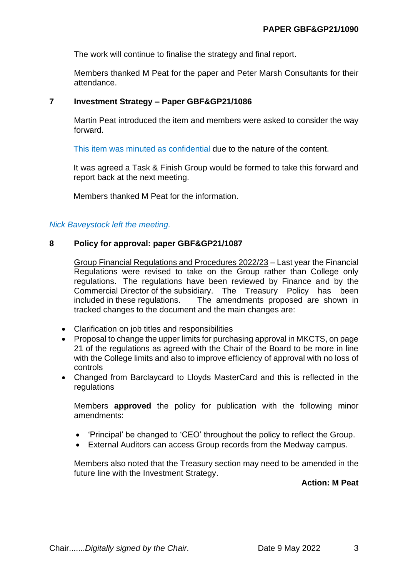The work will continue to finalise the strategy and final report.

Members thanked M Peat for the paper and Peter Marsh Consultants for their attendance.

## **7 Investment Strategy – Paper GBF&GP21/1086**

Martin Peat introduced the item and members were asked to consider the way forward.

This item was minuted as confidential due to the nature of the content.

It was agreed a Task & Finish Group would be formed to take this forward and report back at the next meeting.

Members thanked M Peat for the information.

## *Nick Baveystock left the meeting.*

## **8 Policy for approval: paper GBF&GP21/1087**

Group Financial Regulations and Procedures 2022/23 – Last year the Financial Regulations were revised to take on the Group rather than College only regulations. The regulations have been reviewed by Finance and by the Commercial Director of the subsidiary. The Treasury Policy has been included in these regulations. The amendments proposed are shown in tracked changes to the document and the main changes are:

- Clarification on job titles and responsibilities
- Proposal to change the upper limits for purchasing approval in MKCTS, on page 21 of the regulations as agreed with the Chair of the Board to be more in line with the College limits and also to improve efficiency of approval with no loss of controls
- Changed from Barclaycard to Lloyds MasterCard and this is reflected in the regulations

Members **approved** the policy for publication with the following minor amendments:

- 'Principal' be changed to 'CEO' throughout the policy to reflect the Group.
- External Auditors can access Group records from the Medway campus.

Members also noted that the Treasury section may need to be amended in the future line with the Investment Strategy.

**Action: M Peat**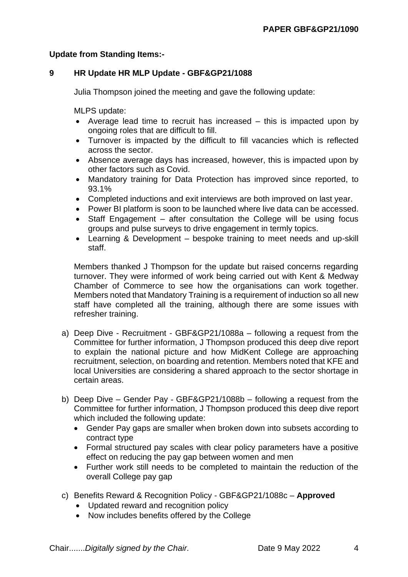# **Update from Standing Items:-**

# **9 HR Update HR MLP Update - GBF&GP21/1088**

Julia Thompson joined the meeting and gave the following update:

MLPS update:

- Average lead time to recruit has increased this is impacted upon by ongoing roles that are difficult to fill.
- Turnover is impacted by the difficult to fill vacancies which is reflected across the sector.
- Absence average days has increased, however, this is impacted upon by other factors such as Covid.
- Mandatory training for Data Protection has improved since reported, to 93.1%
- Completed inductions and exit interviews are both improved on last year.
- Power BI platform is soon to be launched where live data can be accessed.
- Staff Engagement after consultation the College will be using focus groups and pulse surveys to drive engagement in termly topics.
- Learning & Development bespoke training to meet needs and up-skill staff.

Members thanked J Thompson for the update but raised concerns regarding turnover. They were informed of work being carried out with Kent & Medway Chamber of Commerce to see how the organisations can work together. Members noted that Mandatory Training is a requirement of induction so all new staff have completed all the training, although there are some issues with refresher training.

- a) Deep Dive Recruitment GBF&GP21/1088a following a request from the Committee for further information, J Thompson produced this deep dive report to explain the national picture and how MidKent College are approaching recruitment, selection, on boarding and retention. Members noted that KFE and local Universities are considering a shared approach to the sector shortage in certain areas.
- b) Deep Dive Gender Pay GBF&GP21/1088b following a request from the Committee for further information, J Thompson produced this deep dive report which included the following update:
	- Gender Pay gaps are smaller when broken down into subsets according to contract type
	- Formal structured pay scales with clear policy parameters have a positive effect on reducing the pay gap between women and men
	- Further work still needs to be completed to maintain the reduction of the overall College pay gap
- c) Benefits Reward & Recognition Policy GBF&GP21/1088c **Approved**
	- Updated reward and recognition policy
	- Now includes benefits offered by the College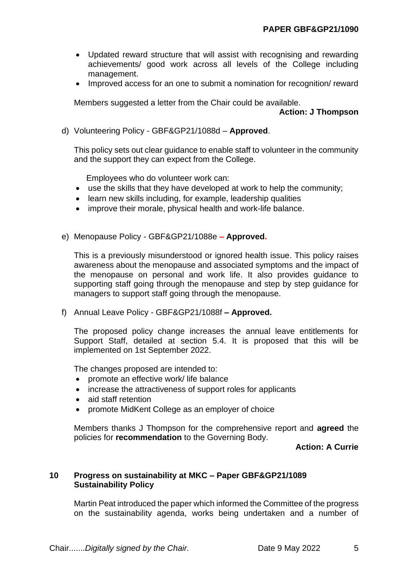- Updated reward structure that will assist with recognising and rewarding achievements/ good work across all levels of the College including management.
- Improved access for an one to submit a nomination for recognition/ reward

Members suggested a letter from the Chair could be available.

### **Action: J Thompson**

d) Volunteering Policy - GBF&GP21/1088d – **Approved**.

This policy sets out clear guidance to enable staff to volunteer in the community and the support they can expect from the College.

Employees who do volunteer work can:

- use the skills that they have developed at work to help the community;
- learn new skills including, for example, leadership qualities
- improve their morale, physical health and work-life balance.
- e) Menopause Policy GBF&GP21/1088e **– Approved.**

This is a previously misunderstood or ignored health issue. This policy raises awareness about the menopause and associated symptoms and the impact of the menopause on personal and work life. It also provides guidance to supporting staff going through the menopause and step by step guidance for managers to support staff going through the menopause.

f) Annual Leave Policy - GBF&GP21/1088f **– Approved.**

The proposed policy change increases the annual leave entitlements for Support Staff, detailed at section 5.4. It is proposed that this will be implemented on 1st September 2022.

The changes proposed are intended to:

- promote an effective work/ life balance
- increase the attractiveness of support roles for applicants
- aid staff retention
- promote MidKent College as an employer of choice

Members thanks J Thompson for the comprehensive report and **agreed** the policies for **recommendation** to the Governing Body.

## **Action: A Currie**

### **10 Progress on sustainability at MKC – Paper GBF&GP21/1089 Sustainability Policy**

Martin Peat introduced the paper which informed the Committee of the progress on the sustainability agenda, works being undertaken and a number of